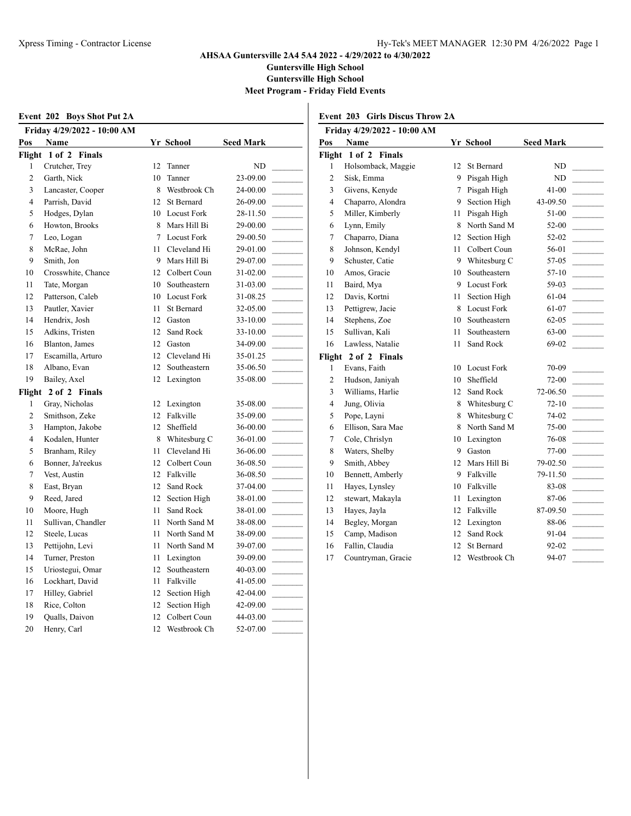**Guntersville High School**

**Guntersville High School**

**Meet Program - Friday Field Events**

|                | <b>Event 202 Boys Shot Put 2A</b> |    |                 |                  | Event 20                                          |
|----------------|-----------------------------------|----|-----------------|------------------|---------------------------------------------------|
|                | Friday 4/29/2022 - 10:00 AM       |    |                 |                  | Friday                                            |
| Pos            | Name                              |    | Yr School       | <b>Seed Mark</b> | Pos<br>N                                          |
|                | Flight 1 of 2 Finals              |    |                 |                  | Flight 1                                          |
| 1              | Crutcher, Trey                    | 12 | Tanner          | ND               | Hc<br>1                                           |
| $\overline{c}$ | Garth, Nick                       | 10 | Tanner          | 23-09.00         | $\overline{c}$<br>Sis                             |
| 3              | Lancaster, Cooper                 |    | 8 Westbrook Ch  | 24-00.00         | 3<br>Gi                                           |
| 4              | Parrish, David                    |    | 12 St Bernard   | 26-09.00         | $\overline{4}$<br>$\mathop{\mathrm{Ch}}\nolimits$ |
| 5              | Hodges, Dylan                     |    | 10 Locust Fork  | 28-11.50         | 5<br>Mi                                           |
| 6              | Howton, Brooks                    |    | 8 Mars Hill Bi  | 29-00.00         | 6<br>Ly                                           |
| 7              | Leo, Logan                        |    | 7 Locust Fork   | 29-00.50         | 7<br>Ch                                           |
| 8              | McRae, John                       | 11 | Cleveland Hi    | 29-01.00         | 8<br>Jol                                          |
| 9              | Smith, Jon                        |    | 9 Mars Hill Bi  | 29-07.00         | 9<br>Sc.                                          |
| 10             | Crosswhite, Chance                |    | 12 Colbert Coun | 31-02.00         | 10<br>Ar                                          |
| 11             | Tate, Morgan                      |    | 10 Southeastern | 31-03.00         | 11<br>Ba                                          |
| 12             | Patterson, Caleb                  |    | 10 Locust Fork  | 31-08.25         | 12<br>Da                                          |
| 13             | Pautler, Xavier                   | 11 | St Bernard      | 32-05.00         | 13<br>Pe                                          |
| 14             | Hendrix, Josh                     |    | 12 Gaston       | 33-10.00         | 14<br>St6                                         |
| 15             | Adkins, Tristen                   | 12 | Sand Rock       | 33-10.00         | 15<br>Su                                          |
| 16             | Blanton, James                    |    | 12 Gaston       | 34-09.00         | 16<br>La                                          |
| 17             | Escamilla, Arturo                 |    | 12 Cleveland Hi | 35-01.25         | Flight 2                                          |
| 18             | Albano, Evan                      | 12 | Southeastern    | 35-06.50         | 1<br>Ev                                           |
| 19             | Bailey, Axel                      |    | 12 Lexington    | 35-08.00         | $\overline{c}$<br>Hu                              |
|                | Flight 2 of 2 Finals              |    |                 |                  | 3<br>Wi                                           |
| 1              | Gray, Nicholas                    |    | 12 Lexington    | 35-08.00         | $\overline{4}$<br>Juı                             |
| 2              | Smithson, Zeke                    |    | 12 Falkville    | 35-09.00         | 5<br>Po                                           |
| 3              | Hampton, Jakobe                   |    | 12 Sheffield    | 36-00.00         | 6<br>Ell                                          |
| 4              | Kodalen, Hunter                   |    | 8 Whitesburg C  | 36-01.00         | $\overline{7}$<br>Co                              |
| 5              | Branham, Riley                    |    | 11 Cleveland Hi | 36-06.00         | 8<br>W                                            |
| 6              | Bonner, Ja'reekus                 |    | 12 Colbert Coun | 36-08.50         | 9<br>Sn                                           |
| 7              | Vest, Austin                      |    | 12 Falkville    | 36-08.50         | 10<br>Be                                          |
| 8              | East, Bryan                       |    | 12 Sand Rock    | 37-04.00         | 11<br>Ha                                          |
| 9              | Reed, Jared                       | 12 | Section High    | 38-01.00         | 12<br>ste                                         |
| 10             | Moore, Hugh                       | 11 | Sand Rock       | 38-01.00         | 13<br>Ha                                          |
| 11             | Sullivan, Chandler                |    | 11 North Sand M | 38-08.00         | 14<br>Be                                          |
| 12             | Steele, Lucas                     |    | 11 North Sand M | 38-09.00         | 15<br>Ca                                          |
| 13             | Pettijohn, Levi                   |    | 11 North Sand M | 39-07.00         | 16<br>Fa                                          |
| 14             | Turner, Preston                   |    | 11 Lexington    | 39-09.00         | 17<br>Co                                          |
| 15             | Uriostegui, Omar                  |    | 12 Southeastern | 40-03.00         |                                                   |
| 16             | Lockhart, David                   | 11 | Falkville       | 41-05.00         |                                                   |
| 17             | Hilley, Gabriel                   |    | 12 Section High | 42-04.00         |                                                   |
| 18             | Rice, Colton                      | 12 | Section High    | 42-09.00         |                                                   |
| 19             | Qualls, Daivon                    | 12 | Colbert Coun    | 44-03.00         |                                                   |
| 20             | Henry, Carl                       | 12 | Westbrook Ch    | 52-07.00         |                                                   |

|  | <b>Event 203 Girls Discus Throw 2A</b> |  |  |  |
|--|----------------------------------------|--|--|--|
|--|----------------------------------------|--|--|--|

|                | Friday 4/29/2022 - 10:00 AM |    |                    |                  |  |
|----------------|-----------------------------|----|--------------------|------------------|--|
| Pos            | <b>Name</b>                 |    | Yr School          | <b>Seed Mark</b> |  |
| Flight         | 1 of 2 Finals               |    |                    |                  |  |
| 1              | Holsomback, Maggie          | 12 | St Bernard         | ND.              |  |
| $\overline{c}$ | Sisk, Emma                  | 9  | Pisgah High        | ND               |  |
| 3              | Givens, Kenyde              | 7  | Pisgah High        | 41-00            |  |
| 4              | Chaparro, Alondra           | 9  | Section High       | 43-09.50         |  |
| 5              | Miller, Kimberly            | 11 | Pisgah High        | 51-00            |  |
| 6              | Lynn, Emily                 | 8  | North Sand M       | 52-00            |  |
| 7              | Chaparro, Diana             | 12 | Section High       | 52-02            |  |
| 8              | Johnson, Kendyl             | 11 | Colbert Coun       | 56-01            |  |
| 9              | Schuster, Catie             | 9  | Whitesburg C       | 57-05            |  |
| 10             | Amos, Gracie                | 10 | Southeastern       | 57-10            |  |
| 11             | Baird, Mya                  | 9  | Locust Fork        | 59-03            |  |
| 12             | Davis, Kortni               | 11 | Section High       | 61-04            |  |
| 13             | Pettigrew, Jacie            | 8  | <b>Locust Fork</b> | 61-07            |  |
| 14             | Stephens, Zoe               | 10 | Southeastern       | $62 - 05$        |  |
| 15             | Sullivan, Kali              | 11 | Southeastern       | 63-00            |  |
| 16             | Lawless, Natalie            | 11 | Sand Rock          | 69-02            |  |
|                | Flight 2 of 2 Finals        |    |                    |                  |  |
| $\mathbf{1}$   | Evans, Faith                | 10 | <b>Locust Fork</b> | 70-09            |  |
| $\overline{c}$ | Hudson, Janiyah             | 10 | Sheffield          | 72-00            |  |
| 3              | Williams, Harlie            | 12 | Sand Rock          | 72-06.50         |  |
| $\overline{4}$ | Jung, Olivia                | 8  | Whitesburg C       | $72 - 10$        |  |
| 5              | Pope, Layni                 | 8  | Whitesburg C       | 74-02            |  |
| 6              | Ellison, Sara Mae           | 8  | North Sand M       | 75-00            |  |
| 7              | Cole, Chrislyn              | 10 | Lexington          | 76-08            |  |
| 8              | Waters, Shelby              | 9  | Gaston             | 77-00            |  |
| 9              | Smith, Abbey                | 12 | Mars Hill Bi       | 79-02.50         |  |
| 10             | Bennett, Amberly            | 9  | Falkville          | 79-11.50         |  |
| 11             | Hayes, Lynsley              | 10 | Falkville          | 83-08            |  |
| 12             | stewart, Makayla            | 11 | Lexington          | 87-06            |  |
| 13             | Hayes, Jayla                | 12 | Falkville          | 87-09.50         |  |
| 14             | Begley, Morgan              | 12 | Lexington          | 88-06            |  |
| 15             | Camp, Madison               | 12 | Sand Rock          | 91-04            |  |
| 16             | Fallin, Claudia             | 12 | St Bernard         | $92 - 02$        |  |
| 17             | Countryman, Gracie          | 12 | Westbrook Ch       | 94-07            |  |
|                |                             |    |                    |                  |  |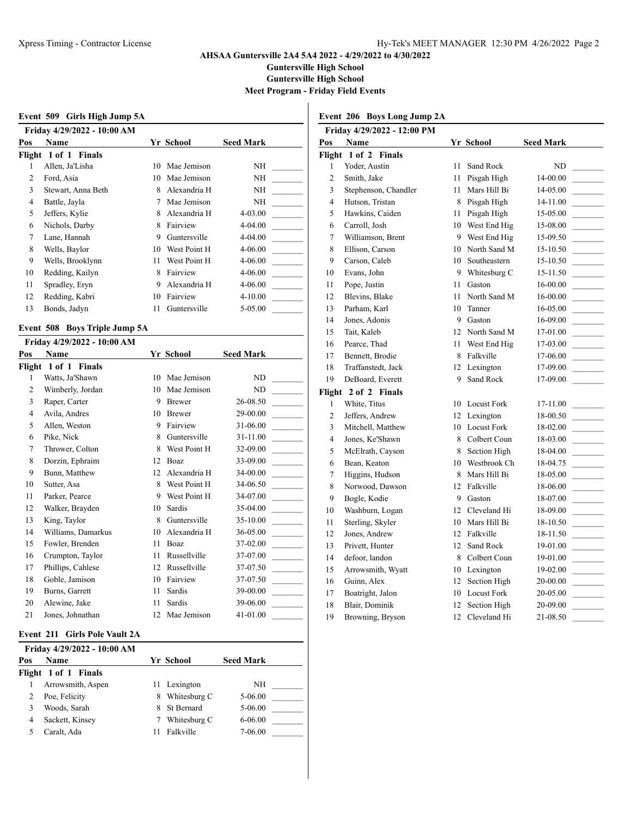**Guntersville High School**

**Guntersville High School**

**Meet Program - Friday Field Events**

| Event 509 Girls High Jump 5A |                                            |    |              |                  |  |
|------------------------------|--------------------------------------------|----|--------------|------------------|--|
| Pos                          | Friday 4/29/2022 - 10:00 AM<br><b>Name</b> |    | Yr School    | <b>Seed Mark</b> |  |
| Flight                       | 1 of 1 Finals                              |    |              |                  |  |
|                              | Allen, Ja'Lisha                            | 10 | Mae Jemison  | NΗ               |  |
| 2                            | Ford, Asia                                 | 10 | Mae Jemison  | NΗ               |  |
| 3                            | Stewart, Anna Beth                         | 8  | Alexandria H | NΗ               |  |
| 4                            | Battle, Jayla                              | 7  | Mae Jemison  | NΗ               |  |
| 5                            | Jeffers, Kylie                             | 8  | Alexandria H | 4-03.00          |  |
| 6                            | Nichols, Darby                             | 8  | Fairview     | 4-04.00          |  |
| 7                            | Lane, Hannah                               | 9  | Guntersville | 4-04.00          |  |
| 8                            | Wells, Baylor                              | 10 | West Point H | 4-06.00          |  |
| 9                            | Wells, Brooklynn                           | 11 | West Point H | 4-06.00          |  |
| 10                           | Redding, Kailyn                            | 8  | Fairview     | 4-06.00          |  |
| 11                           | Spradley, Eryn                             | 9  | Alexandria H | 4-06.00          |  |
| 12                           | Redding, Kabri                             | 10 | Fairview     | $4 - 10.00$      |  |
| 13                           | Bonds, Jadyn                               | 11 | Guntersville | 5-05.00          |  |
|                              |                                            |    |              |                  |  |

#### **Event 508 Boys Triple Jump 5A**

|     | Friday 4/29/2022 - 10:00 AM |    |              |                  |
|-----|-----------------------------|----|--------------|------------------|
| Pos | <b>Name</b>                 |    | Yr School    | <b>Seed Mark</b> |
|     | Flight 1 of 1 Finals        |    |              |                  |
| 1   | Watts, Ja'Shawn             | 10 | Mae Jemison  | ND               |
| 2   | Wimberly, Jordan            | 10 | Mae Jemison  | <b>ND</b>        |
| 3   | Raper, Carter               | 9  | Brewer       | 26-08.50         |
| 4   | Avila, Andres               | 10 | Brewer       | 29-00.00         |
| 5   | Allen, Weston               | 9  | Fairview     | 31-06.00         |
| 6   | Pike, Nick                  | 8  | Guntersville | 31-11.00         |
| 7   | Thrower, Colton             | 8  | West Point H | 32-09.00         |
| 8   | Dorzin, Ephraim             | 12 | Boaz         | 33-09.00         |
| 9   | Bunn, Matthew               | 12 | Alexandria H | 34-00.00         |
| 10  | Sutter, Asa                 | 8  | West Point H | 34-06.50         |
| 11  | Parker, Pearce              | 9  | West Point H | 34-07.00         |
| 12  | Walker, Brayden             | 10 | Sardis       | 35-04.00         |
| 13  | King, Taylor                | 8  | Guntersville | 35-10.00         |
| 14  | Williams, Damarkus          | 10 | Alexandria H | 36-05.00         |
| 15  | Fowler, Brenden             | 11 | Boaz         | 37-02.00         |
| 16  | Crumpton, Taylor            | 11 | Russellville | 37-07.00         |
| 17  | Phillips, Cahlese           | 12 | Russellville | 37-07.50         |
| 18  | Goble, Jamison              | 10 | Fairview     | 37-07.50         |
| 19  | Burns, Garrett              | 11 | Sardis       | 39-00.00         |
| 20  | Alewine, Jake               | 11 | Sardis       | 39-06.00         |
| 21  | Jones, Johnathan            | 12 | Mae Jemison  | 41-01.00         |

#### **Event 211 Girls Pole Vault 2A**

|     | Friday 4/29/2022 - 10:00 AM |   |              |                  |  |  |
|-----|-----------------------------|---|--------------|------------------|--|--|
| Pos | Name                        |   | Yr School    | <b>Seed Mark</b> |  |  |
|     | Flight 1 of 1 Finals        |   |              |                  |  |  |
|     | Arrowsmith, Aspen           |   | 11 Lexington | NH               |  |  |
|     | Poe, Felicity               | 8 | Whitesburg C | $5 - 06.00$      |  |  |
|     | Woods, Sarah                |   | St Bernard   | $5 - 06.00$      |  |  |
| 4   | Sackett, Kinsey             |   | Whitesburg C | $6 - 06.00$      |  |  |
|     | Caralt, Ada                 |   | Falkville    | 7-06.00          |  |  |

## **Event 206 Boys Long Jump 2A**

| Friday 4/29/2022 - 12:00 PM |                      |    |                    |                  |
|-----------------------------|----------------------|----|--------------------|------------------|
| Pos                         | <b>Name</b>          |    | Yr School          | <b>Seed Mark</b> |
| Flight                      | 1 of 2 Finals        |    |                    |                  |
| 1                           | Yoder, Austin        | 11 | Sand Rock          | ND               |
| 2                           | Smith, Jake          | 11 | Pisgah High        | 14-00.00         |
| 3                           | Stephenson, Chandler | 11 | Mars Hill Bi       | 14-05.00         |
| 4                           | Hutson, Tristan      | 8  | Pisgah High        | 14-11.00         |
| 5                           | Hawkins, Caiden      | 11 | Pisgah High        | 15-05.00         |
| 6                           | Carroll, Josh        | 10 | West End Hig       | 15-08.00         |
| 7                           | Williamson, Brent    | 9  | West End Hig       | 15-09.50         |
| 8                           | Ellison, Carson      | 10 | North Sand M       | 15-10.50         |
| 9                           | Carson, Caleb        | 10 | Southeastern       | 15-10.50         |
| 10                          | Evans, John          | 9  | Whitesburg C       | 15-11.50         |
| 11                          | Pope, Justin         | 11 | Gaston             | 16-00.00         |
| 12                          | Blevins, Blake       | 11 | North Sand M       | 16-00.00         |
| 13                          | Parham, Karl         | 10 | Tanner             | 16-05.00         |
| 14                          | Jones, Adonis        | 9  | Gaston             | 16-09.00         |
| 15                          | Tait, Kaleb          | 12 | North Sand M       | 17-01.00         |
| 16                          | Pearce, Thad         | 11 | West End Hig       | 17-03.00         |
| 17                          | Bennett, Brodie      | 8  | Falkville          | 17-06.00         |
| 18                          | Traffanstedt, Jack   | 12 | Lexington          | 17-09.00         |
| 19                          | DeBoard, Everett     | 9  | Sand Rock          | 17-09.00         |
| Flight                      | 2 of 2 Finals        |    |                    |                  |
| $\mathbf{1}$                | White, Titus         | 10 | <b>Locust Fork</b> | 17-11.00         |
| $\overline{c}$              | Jeffers, Andrew      | 12 | Lexington          | 18-00.50         |
| 3                           | Mitchell, Matthew    | 10 | <b>Locust Fork</b> | 18-02.00         |
| 4                           | Jones, Ke'Shawn      | 8  | Colbert Coun       | 18-03.00         |
| 5                           | McElrath, Cayson     | 8  | Section High       | 18-04.00         |
| 6                           | Bean, Keaton         |    | 10 Westbrook Ch    | 18-04.75         |
| 7                           | Higgins, Hudson      | 8  | Mars Hill Bi       | 18-05.00         |
| 8                           | Norwood, Dawson      | 12 | Falkville          | 18-06.00         |
| 9                           | Bogle, Kodie         | 9  | Gaston             | 18-07.00         |
| 10                          | Washburn, Logan      | 12 | Cleveland Hi       | 18-09.00         |
| 11                          | Sterling, Skyler     | 10 | Mars Hill Bi       | 18-10.50         |
| 12                          | Jones, Andrew        | 12 | Falkville          | 18-11.50         |
| 13                          | Privett, Hunter      | 12 | Sand Rock          | 19-01.00         |
| 14                          | defoor, landon       | 8  | Colbert Coun       | 19-01.00         |
| 15                          | Arrowsmith, Wyatt    | 10 | Lexington          | 19-02.00         |
| 16                          | Guinn, Alex          | 12 | Section High       | 20-00.00         |
| 17                          | Boatright, Jalon     | 10 | <b>Locust Fork</b> | 20-05.00         |
| 18                          | Blair, Dominik       | 12 | Section High       | 20-09.00         |
| 19                          | Browning, Bryson     | 12 | Cleveland Hi       | 21-08.50         |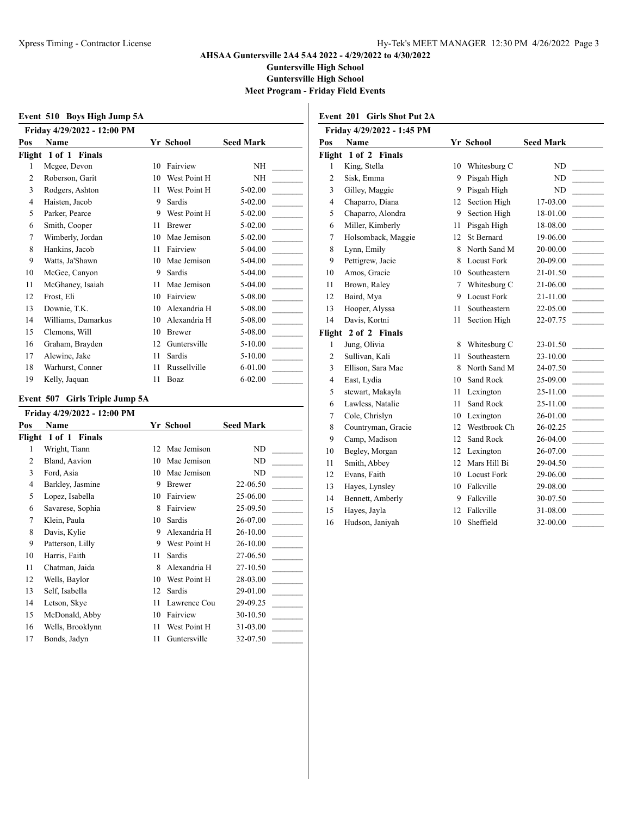**Guntersville High School**

**Guntersville High School**

**Meet Program - Friday Field Events**

|     | Event 510 Boys High Jump 5A         |    |               |                  |
|-----|-------------------------------------|----|---------------|------------------|
| Pos | Friday 4/29/2022 - 12:00 PM<br>Name |    | Yr School     | <b>Seed Mark</b> |
|     | Flight 1 of 1 Finals                |    |               |                  |
| 1   | Mcgee, Devon                        | 10 | Fairview      | NH               |
| 2   | Roberson, Garit                     | 10 | West Point H  | <b>NH</b>        |
| 3   | Rodgers, Ashton                     | 11 | West Point H  | 5-02.00          |
| 4   | Haisten, Jacob                      | 9  | Sardis        | $5 - 02.00$      |
| 5   | Parker, Pearce                      | 9  | West Point H  | $5 - 02.00$      |
| 6   | Smith, Cooper                       | 11 | <b>Brewer</b> | $5 - 02.00$      |
| 7   | Wimberly, Jordan                    | 10 | Mae Jemison   | $5 - 02.00$      |
| 8   | Hankins, Jacob                      | 11 | Fairview      | 5-04.00          |
| 9   | Watts, Ja'Shawn                     | 10 | Mae Jemison   | 5-04.00          |
| 10  | McGee, Canyon                       | 9  | Sardis        | 5-04.00          |
| 11  | McGhaney, Isaiah                    | 11 | Mae Jemison   | 5-04.00          |
| 12  | Frost, Eli                          | 10 | Fairview      | 5-08.00          |
| 13  | Downie, T.K.                        | 10 | Alexandria H  | 5-08.00          |
| 14  | Williams, Damarkus                  | 10 | Alexandria H  | 5-08.00          |
| 15  | Clemons, Will                       | 10 | <b>Brewer</b> | 5-08.00          |
| 16  | Graham, Brayden                     | 12 | Guntersville  | $5 - 10.00$      |
| 17  | Alewine, Jake                       | 11 | Sardis        | $5 - 10.00$      |
| 18  | Warhurst, Conner                    | 11 | Russellville  | $6 - 01.00$      |
| 19  | Kelly, Jaquan                       | 11 | Boaz          | $6 - 02.00$      |

#### **Event 507 Girls Triple Jump 5A**

| Friday 4/29/2022 - 12:00 PM |                             |    |              |                  |
|-----------------------------|-----------------------------|----|--------------|------------------|
| Pos                         | Name                        |    | Yr School    | <b>Seed Mark</b> |
| Flight                      | $1$ of $1$<br><b>Finals</b> |    |              |                  |
| 1                           | Wright, Tiann               | 12 | Mae Jemison  | ND               |
| 2                           | Bland, Aavion               | 10 | Mae Jemison  | ND               |
| 3                           | Ford, Asia                  | 10 | Mae Jemison  | ND               |
| 4                           | Barkley, Jasmine            | 9  | Brewer       | 22-06.50         |
| 5                           | Lopez, Isabella             | 10 | Fairview     | 25-06.00         |
| 6                           | Savarese, Sophia            | 8  | Fairview     | 25-09.50         |
| 7                           | Klein, Paula                | 10 | Sardis       | 26-07.00         |
| 8                           | Davis, Kylie                | 9  | Alexandria H | 26-10.00         |
| 9                           | Patterson, Lilly            | 9  | West Point H | 26-10.00         |
| 10                          | Harris, Faith               | 11 | Sardis       | 27-06.50         |
| 11                          | Chatman, Jaida              | 8  | Alexandria H | 27-10.50         |
| 12                          | Wells, Baylor               | 10 | West Point H | 28-03.00         |
| 13                          | Self, Isabella              | 12 | Sardis       | 29-01.00         |
| 14                          | Letson, Skye                | 11 | Lawrence Cou | 29-09.25         |
| 15                          | McDonald, Abby              | 10 | Fairview     | 30-10.50         |
| 16                          | Wells, Brooklynn            | 11 | West Point H | 31-03.00         |
| 17                          | Bonds, Jadyn                | 11 | Guntersville | 32-07.50         |

| Friday 4/29/2022 - 1:45 PM |                   |                  |
|----------------------------|-------------------|------------------|
| Pos<br><b>Name</b>         | Yr School         | <b>Seed Mark</b> |
| Flight 1 of 2 Finals       |                   |                  |
| 1 King Stella              | $10$ Whiteshurg C | ND               |

**Event 201 Girls Shot Put 2A**

| rugnt          | 1 OI 2 FINALS      |    |                    |                |  |
|----------------|--------------------|----|--------------------|----------------|--|
| 1              | King, Stella       | 10 | Whitesburg C       | ND             |  |
| $\overline{c}$ | Sisk, Emma         | 9  | Pisgah High        | N <sub>D</sub> |  |
| 3              | Gilley, Maggie     | 9  | Pisgah High        | ND             |  |
| $\overline{4}$ | Chaparro, Diana    | 12 | Section High       | 17-03.00       |  |
| 5              | Chaparro, Alondra  | 9  | Section High       | 18-01.00       |  |
| 6              | Miller, Kimberly   | 11 | Pisgah High        | 18-08.00       |  |
| 7              | Holsomback, Maggie | 12 | <b>St Bernard</b>  | 19-06.00       |  |
| 8              | Lynn, Emily        | 8  | North Sand M       | 20-00.00       |  |
| 9              | Pettigrew, Jacie   | 8  | <b>Locust Fork</b> | 20-09.00       |  |
| 10             | Amos, Gracie       | 10 | Southeastern       | 21-01.50       |  |
| 11             | Brown, Raley       | 7  | Whitesburg C       | 21-06.00       |  |
| 12             | Baird, Mya         | 9  | <b>Locust Fork</b> | 21-11.00       |  |
| 13             | Hooper, Alyssa     | 11 | Southeastern       | 22-05.00       |  |
| 14             | Davis, Kortni      | 11 | Section High       | 22-07.75       |  |
| Flight         | 2 of 2 Finals      |    |                    |                |  |
| 1              | Jung, Olivia       | 8  | Whitesburg C       | 23-01.50       |  |
| $\overline{c}$ | Sullivan, Kali     | 11 | Southeastern       | 23-10.00       |  |
| 3              | Ellison, Sara Mae  | 8  | North Sand M       | 24-07.50       |  |
| $\overline{4}$ | East, Lydia        | 10 | Sand Rock          | 25-09.00       |  |
| 5              | stewart, Makayla   | 11 | Lexington          | 25-11.00       |  |
| 6              | Lawless, Natalie   | 11 | Sand Rock          | 25-11.00       |  |
| 7              | Cole, Chrislyn     | 10 | Lexington          | 26-01.00       |  |
| 8              | Countryman, Gracie | 12 | Westbrook Ch       | 26-02.25       |  |
| 9              | Camp, Madison      | 12 | Sand Rock          | 26-04.00       |  |
| 10             | Begley, Morgan     | 12 | Lexington          | 26-07.00       |  |
| 11             | Smith, Abbey       | 12 | Mars Hill Bi       | 29-04.50       |  |
| 12             | Evans, Faith       | 10 | <b>Locust Fork</b> | 29-06.00       |  |
| 13             | Hayes, Lynsley     | 10 | Falkville          | 29-08.00       |  |
| 14             | Bennett, Amberly   | 9  | Falkville          | 30-07.50       |  |
| 15             | Hayes, Jayla       | 12 | Falkville          | 31-08.00       |  |
| 16             | Hudson, Janiyah    | 10 | Sheffield          | 32-00.00       |  |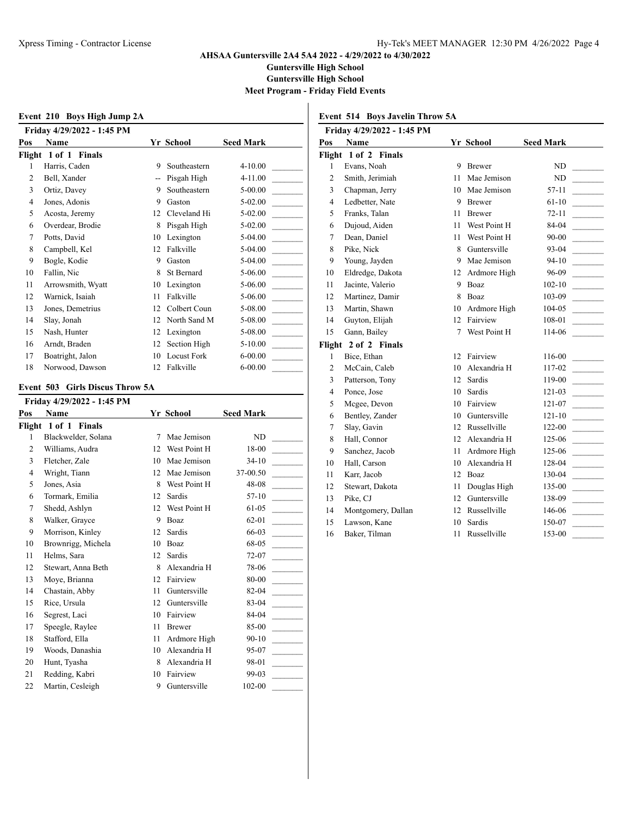**Guntersville High School**

**Guntersville High School**

**Meet Program - Friday Field Events**

|     | Event 210 Boys High Jump 2A |    |                    |                  |
|-----|-----------------------------|----|--------------------|------------------|
|     | Friday 4/29/2022 - 1:45 PM  |    |                    |                  |
| Pos | Name                        |    | Yr School          | <b>Seed Mark</b> |
|     | Flight 1 of 1 Finals        |    |                    |                  |
| 1   | Harris, Caden               | 9  | Southeastern       | $4 - 10.00$      |
| 2   | Bell, Xander                |    | Pisgah High        | $4 - 11.00$      |
| 3   | Ortiz, Davey                | 9  | Southeastern       | $5 - 00.00$      |
| 4   | Jones, Adonis               | 9  | Gaston             | $5 - 02.00$      |
| 5   | Acosta, Jeremy              | 12 | Cleveland Hi       | $5 - 02.00$      |
| 6   | Overdear, Brodie            | 8  | Pisgah High        | $5-02.00$        |
| 7   | Potts, David                | 10 | Lexington          | $5-04.00$        |
| 8   | Campbell, Kel               | 12 | Falkville          | $5-04.00$        |
| 9   | Bogle, Kodie                | 9  | Gaston             | 5-04.00          |
| 10  | Fallin, Nic                 | 8  | <b>St Bernard</b>  | $5 - 06.00$      |
| 11  | Arrowsmith, Wyatt           | 10 | Lexington          | $5 - 06.00$      |
| 12  | Warnick, Isaiah             | 11 | Falkville          | 5-06.00          |
| 13  | Jones, Demetrius            | 12 | Colbert Coun       | 5-08.00          |
| 14  | Slay, Jonah                 | 12 | North Sand M       | 5-08.00          |
| 15  | Nash, Hunter                | 12 | Lexington          | 5-08.00          |
| 16  | Arndt, Braden               | 12 | Section High       | $5-10.00$        |
| 17  | Boatright, Jalon            | 10 | <b>Locust Fork</b> | $6 - 00.00$      |
| 18  | Norwood, Dawson             | 12 | Falkville          | $6 - 00.00$      |

#### **Event 503 Girls Discus Throw 5A**

| Friday 4/29/2022 - 1:45 PM |                      |    |               |                  |  |
|----------------------------|----------------------|----|---------------|------------------|--|
| Pos                        | <b>Name</b>          |    | Yr School     | <b>Seed Mark</b> |  |
|                            | Flight 1 of 1 Finals |    |               |                  |  |
| 1                          | Blackwelder, Solana  | 7  | Mae Jemison   | <b>ND</b>        |  |
| 2                          | Williams, Audra      | 12 | West Point H  | 18-00            |  |
| 3                          | Fletcher, Zale       | 10 | Mae Jemison   | $34-10$          |  |
| 4                          | Wright, Tiann        | 12 | Mae Jemison   | 37-00.50         |  |
| 5                          | Jones, Asia          | 8  | West Point H  | 48-08            |  |
| 6                          | Tormark, Emilia      | 12 | Sardis        | $57-10$          |  |
| 7                          | Shedd, Ashlyn        | 12 | West Point H  | $61 - 05$        |  |
| 8                          | Walker, Grayce       | 9  | Boaz          | $62 - 01$        |  |
| 9                          | Morrison, Kinley     | 12 | Sardis        | 66-03            |  |
| 10                         | Brownrigg, Michela   | 10 | Boaz          | 68-05            |  |
| 11                         | Helms, Sara          | 12 | Sardis        | $72 - 07$        |  |
| 12                         | Stewart, Anna Beth   | 8  | Alexandria H  | 78-06            |  |
| 13                         | Moye, Brianna        | 12 | Fairview      | 80-00            |  |
| 14                         | Chastain, Abby       | 11 | Guntersville  | 82-04            |  |
| 15                         | Rice, Ursula         | 12 | Guntersville  | 83-04            |  |
| 16                         | Segrest, Laci        | 10 | Fairview      | 84-04            |  |
| 17                         | Speegle, Raylee      | 11 | <b>Brewer</b> | 85-00            |  |
| 18                         | Stafford, Ella       | 11 | Ardmore High  | $90 - 10$        |  |
| 19                         | Woods, Danashia      | 10 | Alexandria H  | 95-07            |  |
| 20                         | Hunt, Tyasha         | 8  | Alexandria H  | 98-01            |  |
| 21                         | Redding, Kabri       | 10 | Fairview      | 99-03            |  |
| 22                         | Martin, Cesleigh     | 9  | Guntersville  | $102 - 00$       |  |
|                            |                      |    |               |                  |  |

| <b>Event 514 Boys Javelin Throw 5A</b> |                      |    |               |                  |  |  |
|----------------------------------------|----------------------|----|---------------|------------------|--|--|
| Friday 4/29/2022 - 1:45 PM             |                      |    |               |                  |  |  |
| Pos                                    | Name                 |    | Yr School     | <b>Seed Mark</b> |  |  |
| Flight 1 of 2 Finals                   |                      |    |               |                  |  |  |
| 1                                      | Evans, Noah          | 9  | <b>Brewer</b> | ND               |  |  |
| $\overline{c}$                         | Smith, Jerimiah      | 11 | Mae Jemison   | ND               |  |  |
| 3                                      | Chapman, Jerry       | 10 | Mae Jemison   | 57-11            |  |  |
| 4                                      | Ledbetter, Nate      | 9  | <b>Brewer</b> | $61 - 10$        |  |  |
| 5                                      | Franks, Talan        | 11 | <b>Brewer</b> | $72 - 11$        |  |  |
| 6                                      | Dujoud, Aiden        | 11 | West Point H  | 84-04            |  |  |
| 7                                      | Dean, Daniel         | 11 | West Point H  | 90-00            |  |  |
| 8                                      | Pike, Nick           | 8  | Guntersville  | 93-04            |  |  |
| 9                                      | Young, Jayden        | 9  | Mae Jemison   | $94 - 10$        |  |  |
| 10                                     | Eldredge, Dakota     | 12 | Ardmore High  | 96-09            |  |  |
| 11                                     | Jacinte, Valerio     | 9  | Boaz          | $102 - 10$       |  |  |
| 12                                     | Martinez, Damir      | 8  | Boaz          | 103-09           |  |  |
| 13                                     | Martin, Shawn        | 10 | Ardmore High  | 104-05           |  |  |
| 14                                     | Guyton, Elijah       | 12 | Fairview      | 108-01           |  |  |
| 15                                     | Gann, Bailey         | 7  | West Point H  | 114-06           |  |  |
|                                        | Flight 2 of 2 Finals |    |               |                  |  |  |
| 1                                      | Bice, Ethan          | 12 | Fairview      | 116-00           |  |  |
| $\overline{c}$                         | McCain, Caleb        | 10 | Alexandria H  | 117-02           |  |  |
| 3                                      | Patterson, Tony      | 12 | Sardis        | 119-00           |  |  |
| $\overline{4}$                         | Ponce, Jose          | 10 | Sardis        | 121-03           |  |  |
| 5                                      | Mcgee, Devon         | 10 | Fairview      | 121-07           |  |  |
| 6                                      | Bentley, Zander      | 10 | Guntersville  | 121-10           |  |  |
| 7                                      | Slay, Gavin          | 12 | Russellville  | 122-00           |  |  |
| 8                                      | Hall, Connor         | 12 | Alexandria H  | 125-06           |  |  |
| 9                                      | Sanchez, Jacob       | 11 | Ardmore High  | 125-06           |  |  |
| 10                                     | Hall, Carson         | 10 | Alexandria H  | 128-04           |  |  |
| 11                                     | Karr, Jacob          | 12 | Boaz          | 130-04           |  |  |
| 12                                     | Stewart, Dakota      | 11 | Douglas High  | 135-00           |  |  |
| 13                                     | Pike, CJ             | 12 | Guntersville  | 138-09           |  |  |
| 14                                     | Montgomery, Dallan   | 12 | Russellville  | 146-06           |  |  |
| 15                                     | Lawson, Kane         | 10 | Sardis        | 150-07           |  |  |
| 16                                     | Baker, Tilman        | 11 | Russellville  | 153-00           |  |  |